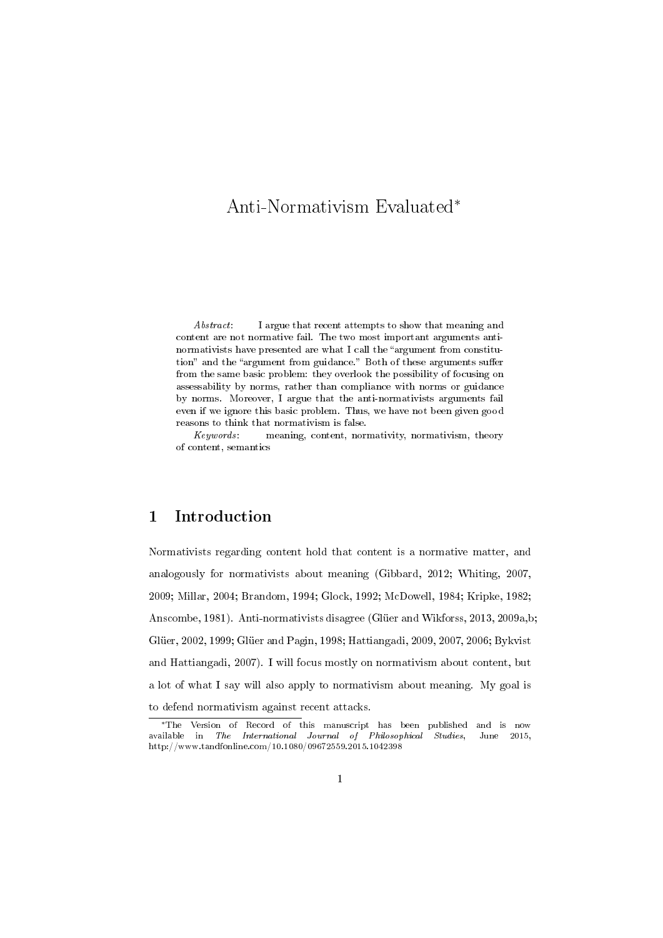## Anti-Normativism Evaluated<sup>∗</sup>

Abstract: I argue that recent attempts to show that meaning and content are not normative fail. The two most important arguments antinormativists have presented are what I call the "argument from constitution" and the "argument from guidance." Both of these arguments suffer from the same basic problem: they overlook the possibility of focusing on assessability by norms, rather than compliance with norms or guidance by norms. Moreover, I argue that the anti-normativists arguments fail even if we ignore this basic problem. Thus, we have not been given good reasons to think that normativism is false.

Keywords: meaning, content, normativity, normativism, theory of content, semantics

## 1 Introduction

Normativists regarding content hold that content is a normative matter, and analogously for normativists about meaning (Gibbard, 2012; Whiting, 2007, 2009; Millar, 2004; Brandom, 1994; Glock, 1992; McDowell, 1984; Kripke, 1982; Anscombe, 1981). Anti-normativists disagree (Glüer and Wikforss, 2013, 2009a,b; Glüer, 2002, 1999; Glüer and Pagin, 1998; Hattiangadi, 2009, 2007, 2006; Bykvist and Hattiangadi, 2007). I will focus mostly on normativism about content, but a lot of what I say will also apply to normativism about meaning. My goal is to defend normativism against recent attacks.

<sup>∗</sup>The Version of Record of this manuscript has been published and is now available in The International Journal of Philosophical Studies, June 2015, http://www.tandfonline.com/10.1080/09672559.2015.1042398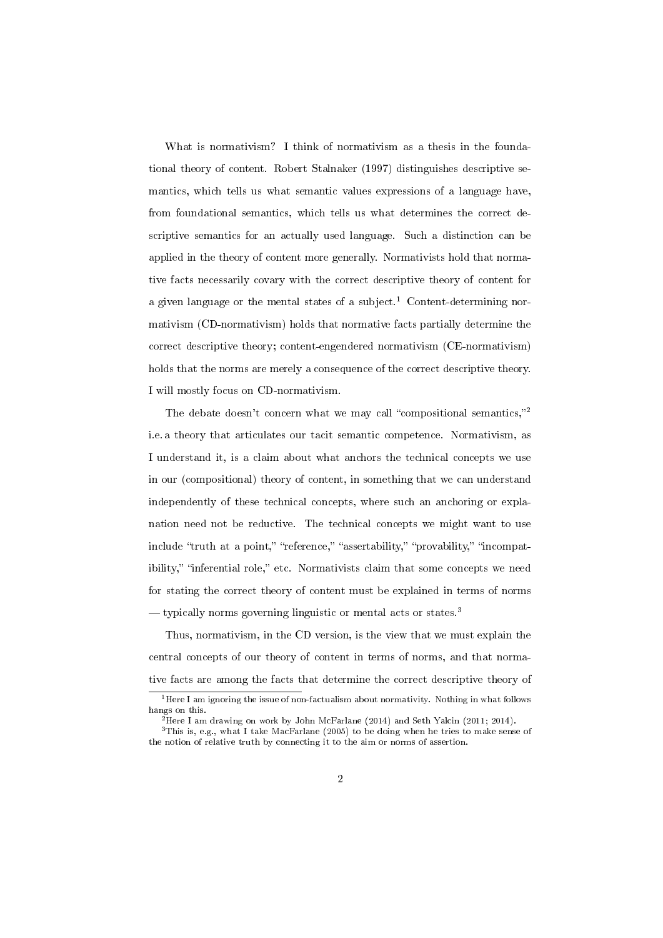What is normativism? I think of normativism as a thesis in the foundational theory of content. Robert Stalnaker (1997) distinguishes descriptive semantics, which tells us what semantic values expressions of a language have, from foundational semantics, which tells us what determines the correct descriptive semantics for an actually used language. Such a distinction can be applied in the theory of content more generally. Normativists hold that normative facts necessarily covary with the correct descriptive theory of content for a given language or the mental states of a subject.<sup>1</sup> Content-determining normativism (CD-normativism) holds that normative facts partially determine the correct descriptive theory; content-engendered normativism (CE-normativism) holds that the norms are merely a consequence of the correct descriptive theory. I will mostly focus on CD-normativism.

The debate doesn't concern what we may call "compositional semantics,"<sup>2</sup> i.e. a theory that articulates our tacit semantic competence. Normativism, as I understand it, is a claim about what anchors the technical concepts we use in our (compositional) theory of content, in something that we can understand independently of these technical concepts, where such an anchoring or explanation need not be reductive. The technical concepts we might want to use include "truth at a point," "reference," "assertability," "provability," "incompatibility," "inferential role," etc. Normativists claim that some concepts we need for stating the correct theory of content must be explained in terms of norms  $-$  typically norms governing linguistic or mental acts or states.<sup>3</sup>

Thus, normativism, in the CD version, is the view that we must explain the central concepts of our theory of content in terms of norms, and that normative facts are among the facts that determine the correct descriptive theory of

 $1$  Here I am ignoring the issue of non-factualism about normativity. Nothing in what follows hangs on this.

 $^{2}$ Here I am drawing on work by John McFarlane (2014) and Seth Yalcin (2011; 2014).

<sup>&</sup>lt;sup>3</sup>This is, e.g., what I take MacFarlane (2005) to be doing when he tries to make sense of the notion of relative truth by connecting it to the aim or norms of assertion.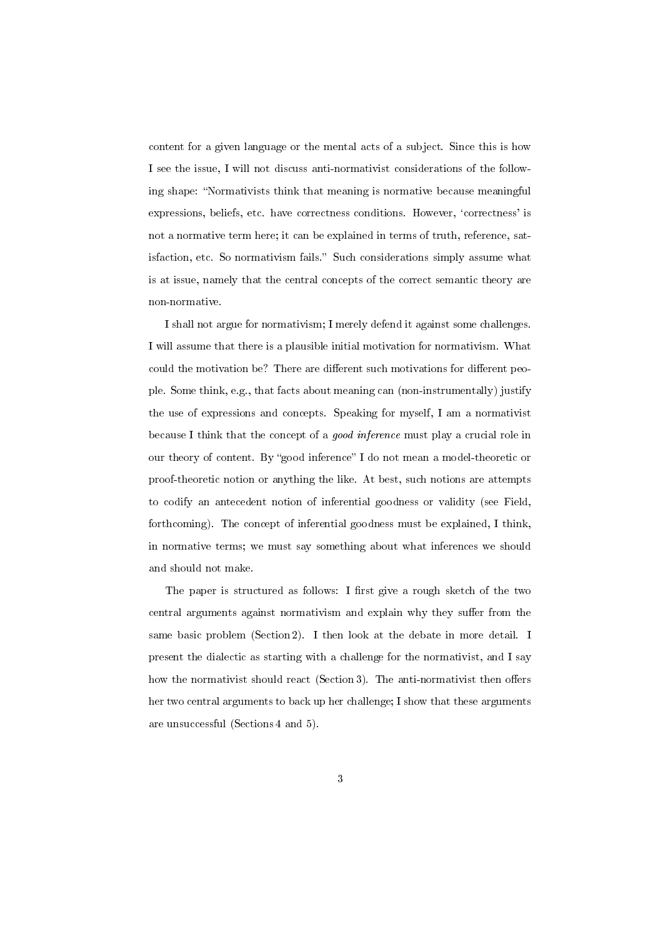content for a given language or the mental acts of a subject. Since this is how I see the issue, I will not discuss anti-normativist considerations of the following shape: Normativists think that meaning is normative because meaningful expressions, beliefs, etc. have correctness conditions. However, 'correctness' is not a normative term here; it can be explained in terms of truth, reference, satisfaction, etc. So normativism fails." Such considerations simply assume what is at issue, namely that the central concepts of the correct semantic theory are non-normative.

I shall not argue for normativism; I merely defend it against some challenges. I will assume that there is a plausible initial motivation for normativism. What could the motivation be? There are different such motivations for different people. Some think, e.g., that facts about meaning can (non-instrumentally) justify the use of expressions and concepts. Speaking for myself, I am a normativist because I think that the concept of a good inference must play a crucial role in our theory of content. By "good inference" I do not mean a model-theoretic or proof-theoretic notion or anything the like. At best, such notions are attempts to codify an antecedent notion of inferential goodness or validity (see Field, forthcoming). The concept of inferential goodness must be explained, I think, in normative terms; we must say something about what inferences we should and should not make.

The paper is structured as follows: I first give a rough sketch of the two central arguments against normativism and explain why they suffer from the same basic problem (Section 2). I then look at the debate in more detail. I present the dialectic as starting with a challenge for the normativist, and I say how the normativist should react (Section 3). The anti-normativist then offers her two central arguments to back up her challenge; I show that these arguments are unsuccessful (Sections 4 and 5).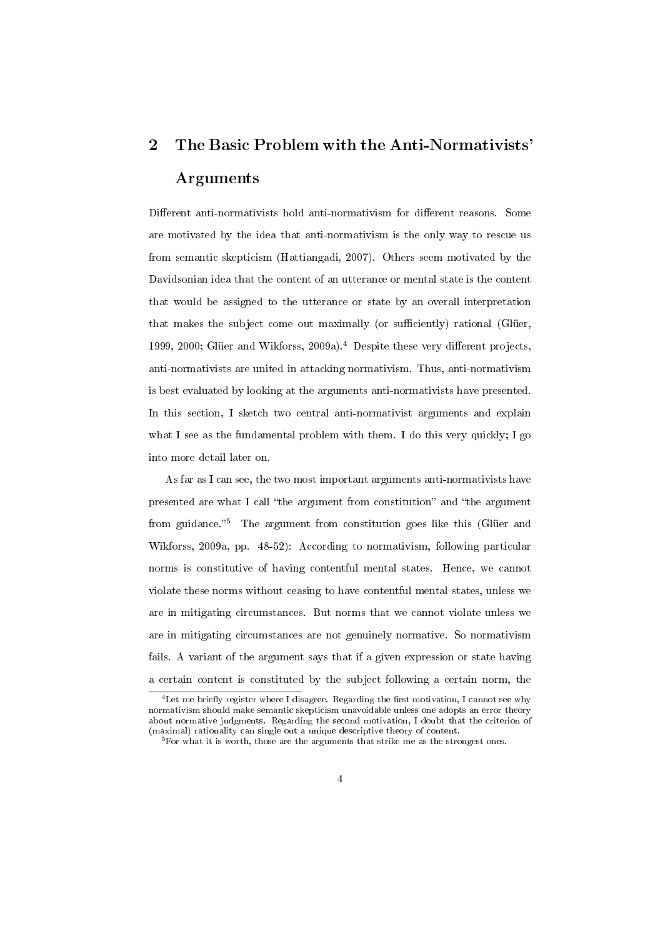# 2 The Basic Problem with the Anti-Normativists' Arguments

Different anti-normativists hold anti-normativism for different reasons. Some are motivated by the idea that anti-normativism is the only way to rescue us from semantic skepticism (Hattiangadi, 2007). Others seem motivated by the Davidsonian idea that the content of an utterance or mental state is the content that would be assigned to the utterance or state by an overall interpretation that makes the subject come out maximally (or sufficiently) rational (Glüer, 1999, 2000; Glüer and Wikforss, 2009a).<sup>4</sup> Despite these very different projects, anti-normativists are united in attacking normativism. Thus, anti-normativism is best evaluated by looking at the arguments anti-normativists have presented. In this section, I sketch two central anti-normativist arguments and explain what I see as the fundamental problem with them. I do this very quickly; I go into more detail later on.

As far as I can see, the two most important arguments anti-normativists have presented are what I call "the argument from constitution" and "the argument from guidance.<sup>5</sup> The argument from constitution goes like this (Glüer and Wikforss, 2009a, pp. 48-52): According to normativism, following particular norms is constitutive of having contentful mental states. Hence, we cannot violate these norms without ceasing to have contentful mental states, unless we are in mitigating circumstances. But norms that we cannot violate unless we are in mitigating circumstances are not genuinely normative. So normativism fails. A variant of the argument says that if a given expression or state having a certain content is constituted by the subject following a certain norm, the

 $4$  Let me briefly register where I disagree. Regarding the first motivation, I cannot see why normativism should make semantic skepticism unavoidable unless one adopts an error theory about normative judgments. Regarding the second motivation, I doubt that the criterion of (maximal) rationality can single out a unique descriptive theory of content.

 $5$  For what it is worth, those are the arguments that strike me as the strongest ones.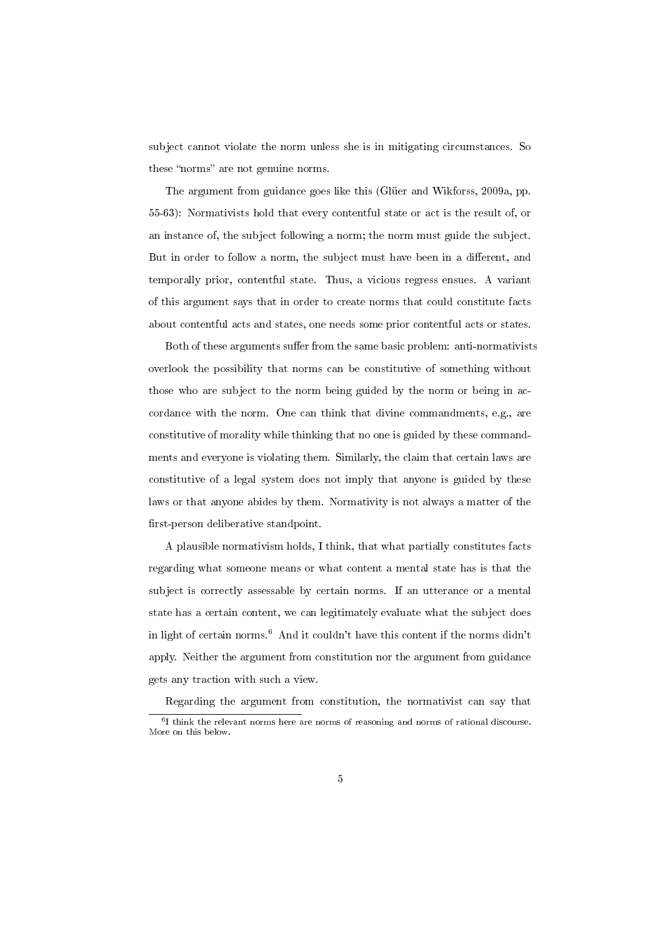subject cannot violate the norm unless she is in mitigating circumstances. So these "norms" are not genuine norms.

The argument from guidance goes like this (Glüer and Wikforss, 2009a, pp. 55-63): Normativists hold that every contentful state or act is the result of, or an instance of, the subject following a norm; the norm must guide the subject. But in order to follow a norm, the subject must have been in a different, and temporally prior, contentful state. Thus, a vicious regress ensues. A variant of this argument says that in order to create norms that could constitute facts about contentful acts and states, one needs some prior contentful acts or states.

Both of these arguments suffer from the same basic problem: anti-normativists overlook the possibility that norms can be constitutive of something without those who are subject to the norm being guided by the norm or being in accordance with the norm. One can think that divine commandments, e.g., are constitutive of morality while thinking that no one is guided by these commandments and everyone is violating them. Similarly, the claim that certain laws are constitutive of a legal system does not imply that anyone is guided by these laws or that anyone abides by them. Normativity is not always a matter of the first-person deliberative standpoint.

A plausible normativism holds, I think, that what partially constitutes facts regarding what someone means or what content a mental state has is that the subject is correctly assessable by certain norms. If an utterance or a mental state has a certain content, we can legitimately evaluate what the subject does in light of certain norms.<sup>6</sup> And it couldn't have this content if the norms didn't apply. Neither the argument from constitution nor the argument from guidance gets any traction with such a view.

Regarding the argument from constitution, the normativist can say that

 ${}^{6}$ I think the relevant norms here are norms of reasoning and norms of rational discourse. More on this below.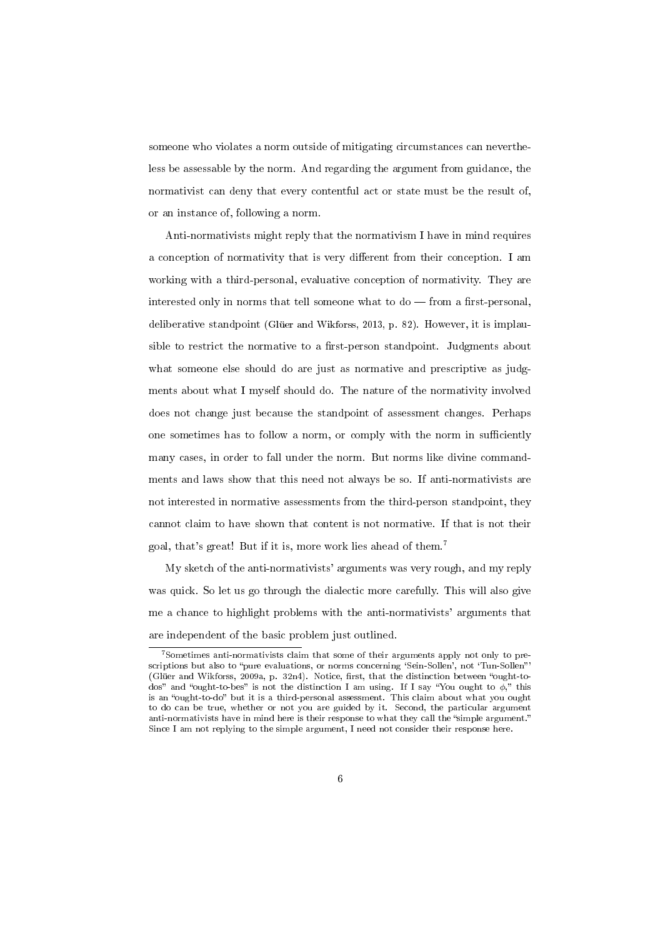someone who violates a norm outside of mitigating circumstances can nevertheless be assessable by the norm. And regarding the argument from guidance, the normativist can deny that every contentful act or state must be the result of, or an instance of, following a norm.

Anti-normativists might reply that the normativism I have in mind requires a conception of normativity that is very different from their conception. I am working with a third-personal, evaluative conception of normativity. They are interested only in norms that tell someone what to  $\text{do}$  — from a first-personal, deliberative standpoint (Glüer and Wikforss, 2013, p. 82). However, it is implausible to restrict the normative to a first-person standpoint. Judgments about what someone else should do are just as normative and prescriptive as judgments about what I myself should do. The nature of the normativity involved does not change just because the standpoint of assessment changes. Perhaps one sometimes has to follow a norm, or comply with the norm in sufficiently many cases, in order to fall under the norm. But norms like divine commandments and laws show that this need not always be so. If anti-normativists are not interested in normative assessments from the third-person standpoint, they cannot claim to have shown that content is not normative. If that is not their goal, that's great! But if it is, more work lies ahead of them.<sup>7</sup>

My sketch of the anti-normativists' arguments was very rough, and my reply was quick. So let us go through the dialectic more carefully. This will also give me a chance to highlight problems with the anti-normativists' arguments that are independent of the basic problem just outlined.

<sup>7</sup>Sometimes anti-normativists claim that some of their arguments apply not only to prescriptions but also to "pure evaluations, or norms concerning 'Sein-Sollen', not 'Tun-Sollen'' (Glüer and Wikforss, 2009a, p. 32n4). Notice, first, that the distinction between "ought-todos" and "ought-to-bes" is not the distinction I am using. If I say "You ought to  $\phi$ ," this is an "ought-to-do" but it is a third-personal assessment. This claim about what you ought to do can be true, whether or not you are guided by it. Second, the particular argument anti-normativists have in mind here is their response to what they call the "simple argument." Since I am not replying to the simple argument, I need not consider their response here.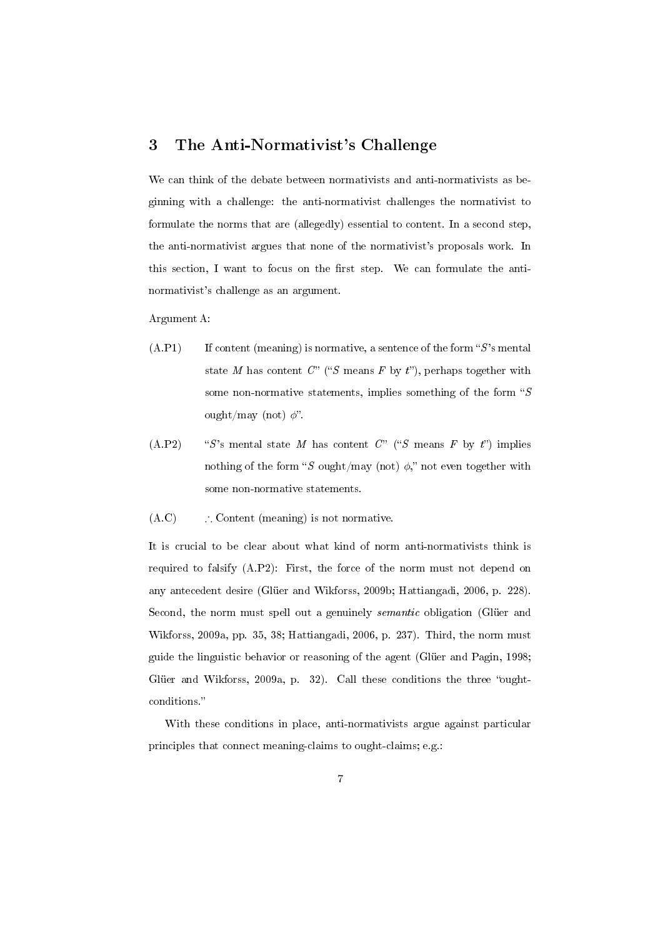## 3 The Anti-Normativist's Challenge

We can think of the debate between normativists and anti-normativists as beginning with a challenge: the anti-normativist challenges the normativist to formulate the norms that are (allegedly) essential to content. In a second step, the anti-normativist argues that none of the normativist's proposals work. In this section, I want to focus on the first step. We can formulate the antinormativist's challenge as an argument.

Argument A:

- $(A.P1)$  If content (meaning) is normative, a sentence of the form " $S$ 's mental state M has content  $C^{\prime\prime}$  ("S means F by t"), perhaps together with some non-normative statements, implies something of the form " $S$ ought/may (not)  $\phi$ ".
- $(A.P2)$  "S's mental state M has content C" ("S means F by t") implies nothing of the form "S ought/may (not)  $\phi$ ," not even together with some non-normative statements.
- $(A.C)$  ∴ Content (meaning) is not normative.

It is crucial to be clear about what kind of norm anti-normativists think is required to falsify (A.P2): First, the force of the norm must not depend on any antecedent desire (Glüer and Wikforss, 2009b; Hattiangadi, 2006, p. 228). Second, the norm must spell out a genuinely *semantic* obligation (Glüer and Wikforss, 2009a, pp. 35, 38; Hattiangadi, 2006, p. 237). Third, the norm must guide the linguistic behavior or reasoning of the agent (Glüer and Pagin, 1998; Glüer and Wikforss, 2009a, p. 32). Call these conditions the three "oughtconditions.

With these conditions in place, anti-normativists argue against particular principles that connect meaning-claims to ought-claims; e.g.: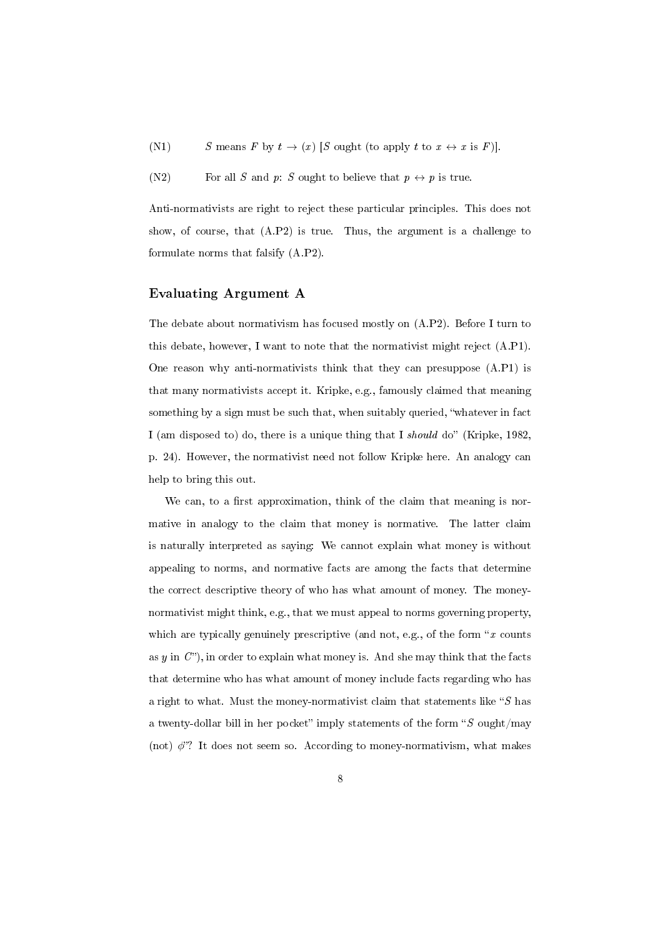- (N1) S means F by  $t \to (x)$  [S ought (to apply t to  $x \leftrightarrow x$  is F)].
- (N2) For all S and p: S ought to believe that  $p \leftrightarrow p$  is true.

Anti-normativists are right to reject these particular principles. This does not show, of course, that  $(A.P2)$  is true. Thus, the argument is a challenge to formulate norms that falsify (A.P2).

#### Evaluating Argument A

The debate about normativism has focused mostly on (A.P2). Before I turn to this debate, however, I want to note that the normativist might reject (A.P1). One reason why anti-normativists think that they can presuppose (A.P1) is that many normativists accept it. Kripke, e.g., famously claimed that meaning something by a sign must be such that, when suitably queried, "whatever in fact" I (am disposed to) do, there is a unique thing that I should do" (Kripke, 1982, p. 24). However, the normativist need not follow Kripke here. An analogy can help to bring this out.

We can, to a first approximation, think of the claim that meaning is normative in analogy to the claim that money is normative. The latter claim is naturally interpreted as saying: We cannot explain what money is without appealing to norms, and normative facts are among the facts that determine the correct descriptive theory of who has what amount of money. The moneynormativist might think, e.g., that we must appeal to norms governing property, which are typically genuinely prescriptive (and not, e.g., of the form " $x$  counts") as y in  $C$ ), in order to explain what money is. And she may think that the facts that determine who has what amount of money include facts regarding who has a right to what. Must the money-normativist claim that statements like " $S$  has a twenty-dollar bill in her pocket" imply statements of the form " $S$  ought/may (not)  $\phi$ ? It does not seem so. According to money-normativism, what makes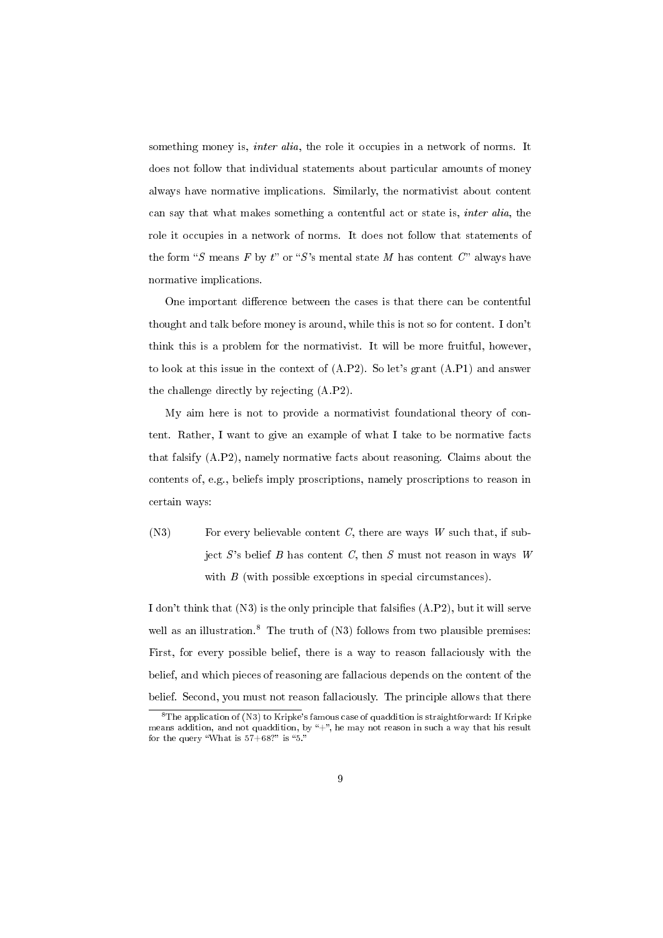something money is, *inter alia*, the role it occupies in a network of norms. It does not follow that individual statements about particular amounts of money always have normative implications. Similarly, the normativist about content can say that what makes something a contentful act or state is, inter alia, the role it occupies in a network of norms. It does not follow that statements of the form "S means F by t" or "S's mental state M has content  $C$ " always have normative implications.

One important difference between the cases is that there can be contentful thought and talk before money is around, while this is not so for content. I don't think this is a problem for the normativist. It will be more fruitful, however, to look at this issue in the context of (A.P2). So let's grant (A.P1) and answer the challenge directly by rejecting (A.P2).

My aim here is not to provide a normativist foundational theory of content. Rather, I want to give an example of what I take to be normative facts that falsify (A.P2), namely normative facts about reasoning. Claims about the contents of, e.g., beliefs imply proscriptions, namely proscriptions to reason in certain ways:

 $(N3)$  For every believable content C, there are ways W such that, if subject  $S$ 's belief  $B$  has content  $C$ , then  $S$  must not reason in ways  $W$ with  $B$  (with possible exceptions in special circumstances).

I don't think that  $(N3)$  is the only principle that falsifies  $(A.P2)$ , but it will serve well as an illustration.<sup>8</sup> The truth of  $(N3)$  follows from two plausible premises: First, for every possible belief, there is a way to reason fallaciously with the belief, and which pieces of reasoning are fallacious depends on the content of the belief. Second, you must not reason fallaciously. The principle allows that there

 $\overline{\text{8}}$ The application of (N3) to Kripke's famous case of quaddition is straightforward: If Kripke means addition, and not quaddition, by  $4$ , he may not reason in such a way that his result for the query "What is  $57+68$ ?" is "5."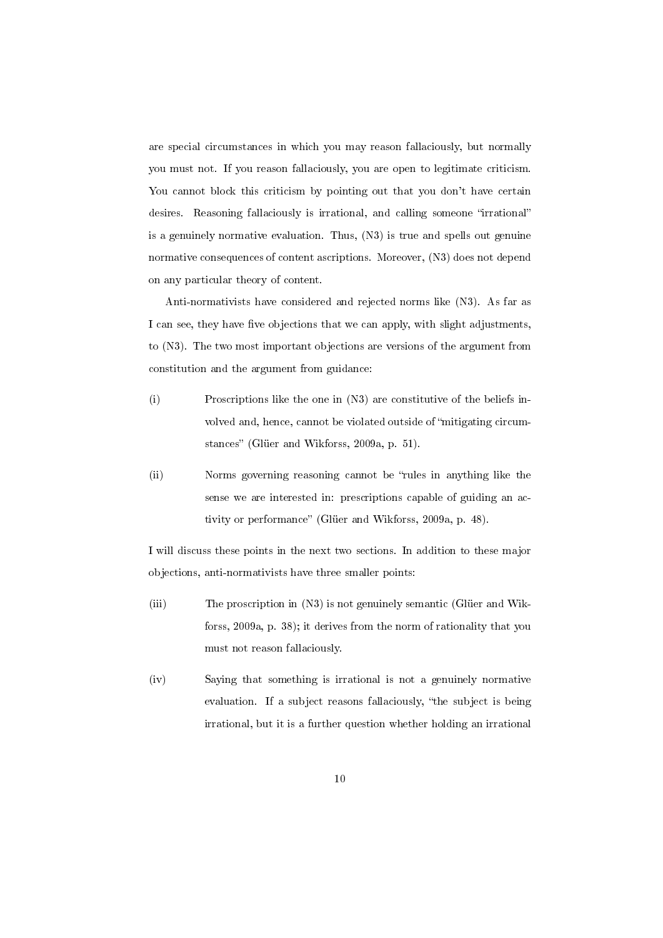are special circumstances in which you may reason fallaciously, but normally you must not. If you reason fallaciously, you are open to legitimate criticism. You cannot block this criticism by pointing out that you don't have certain desires. Reasoning fallaciously is irrational, and calling someone "irrational" is a genuinely normative evaluation. Thus, (N3) is true and spells out genuine normative consequences of content ascriptions. Moreover, (N3) does not depend on any particular theory of content.

Anti-normativists have considered and rejected norms like (N3). As far as I can see, they have five objections that we can apply, with slight adjustments, to (N3). The two most important objections are versions of the argument from constitution and the argument from guidance:

- (i) Proscriptions like the one in (N3) are constitutive of the beliefs involved and, hence, cannot be violated outside of mitigating circumstances" (Glüer and Wikforss, 2009a, p. 51).
- (ii) Norms governing reasoning cannot be "rules in anything like the sense we are interested in: prescriptions capable of guiding an activity or performance" (Glüer and Wikforss, 2009a, p. 48).

I will discuss these points in the next two sections. In addition to these major objections, anti-normativists have three smaller points:

- (iii) The proscription in (N3) is not genuinely semantic (Glüer and Wikforss, 2009a, p. 38); it derives from the norm of rationality that you must not reason fallaciously.
- (iv) Saying that something is irrational is not a genuinely normative evaluation. If a subject reasons fallaciously, "the subject is being irrational, but it is a further question whether holding an irrational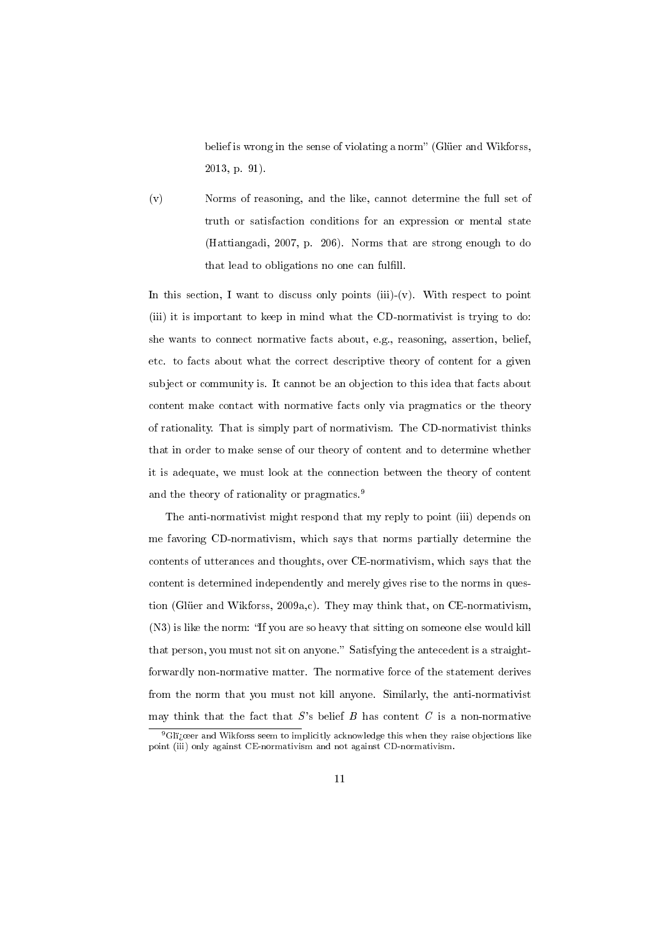belief is wrong in the sense of violating a norm" (Glüer and Wikforss, 2013, p. 91).

(v) Norms of reasoning, and the like, cannot determine the full set of truth or satisfaction conditions for an expression or mental state (Hattiangadi, 2007, p. 206). Norms that are strong enough to do that lead to obligations no one can fulll.

In this section, I want to discuss only points (iii)-(v). With respect to point (iii) it is important to keep in mind what the CD-normativist is trying to do: she wants to connect normative facts about, e.g., reasoning, assertion, belief, etc. to facts about what the correct descriptive theory of content for a given subject or community is. It cannot be an objection to this idea that facts about content make contact with normative facts only via pragmatics or the theory of rationality. That is simply part of normativism. The CD-normativist thinks that in order to make sense of our theory of content and to determine whether it is adequate, we must look at the connection between the theory of content and the theory of rationality or pragmatics.<sup>9</sup>

The anti-normativist might respond that my reply to point (iii) depends on me favoring CD-normativism, which says that norms partially determine the contents of utterances and thoughts, over CE-normativism, which says that the content is determined independently and merely gives rise to the norms in question (Glüer and Wikforss, 2009a,c). They may think that, on CE-normativism,  $(N3)$  is like the norm: "If you are so heavy that sitting on someone else would kill that person, you must not sit on anyone." Satisfying the antecedent is a straightforwardly non-normative matter. The normative force of the statement derives from the norm that you must not kill anyone. Similarly, the anti-normativist may think that the fact that  $S$ 's belief  $B$  has content  $C$  is a non-normative

 $9\,\mathrm{Gli}$ ¿cer and Wikforss seem to implicitly acknowledge this when they raise objections like point (iii) only against CE-normativism and not against CD-normativism.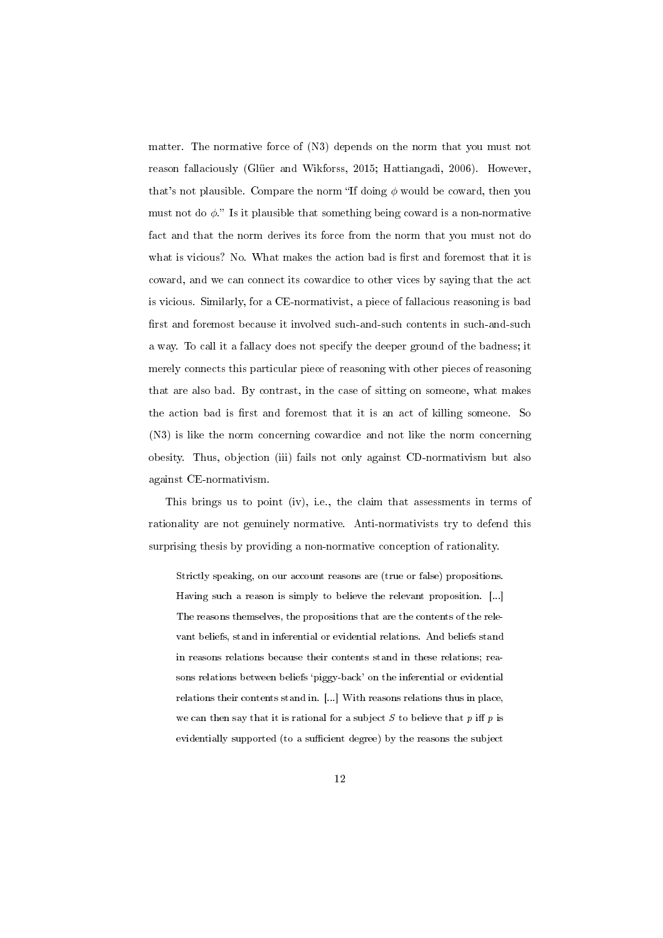matter. The normative force of (N3) depends on the norm that you must not reason fallaciously (Glüer and Wikforss, 2015; Hattiangadi, 2006). However, that's not plausible. Compare the norm "If doing  $\phi$  would be coward, then you must not do  $\phi$ ." Is it plausible that something being coward is a non-normative fact and that the norm derives its force from the norm that you must not do what is vicious? No. What makes the action bad is first and foremost that it is coward, and we can connect its cowardice to other vices by saying that the act is vicious. Similarly, for a CE-normativist, a piece of fallacious reasoning is bad first and foremost because it involved such-and-such contents in such-and-such a way. To call it a fallacy does not specify the deeper ground of the badness; it merely connects this particular piece of reasoning with other pieces of reasoning that are also bad. By contrast, in the case of sitting on someone, what makes the action bad is first and foremost that it is an act of killing someone. So (N3) is like the norm concerning cowardice and not like the norm concerning obesity. Thus, objection (iii) fails not only against CD-normativism but also against CE-normativism.

This brings us to point (iv), i.e., the claim that assessments in terms of rationality are not genuinely normative. Anti-normativists try to defend this surprising thesis by providing a non-normative conception of rationality.

Strictly speaking, on our account reasons are (true or false) propositions. Having such a reason is simply to believe the relevant proposition. [...] The reasons themselves, the propositions that are the contents of the relevant beliefs, stand in inferential or evidential relations. And beliefs stand in reasons relations because their contents stand in these relations; reasons relations between beliefs 'piggy-back' on the inferential or evidential relations their contents stand in. [...] With reasons relations thus in place, we can then say that it is rational for a subject  $S$  to believe that  $p$  iff  $p$  is evidentially supported (to a sufficient degree) by the reasons the subject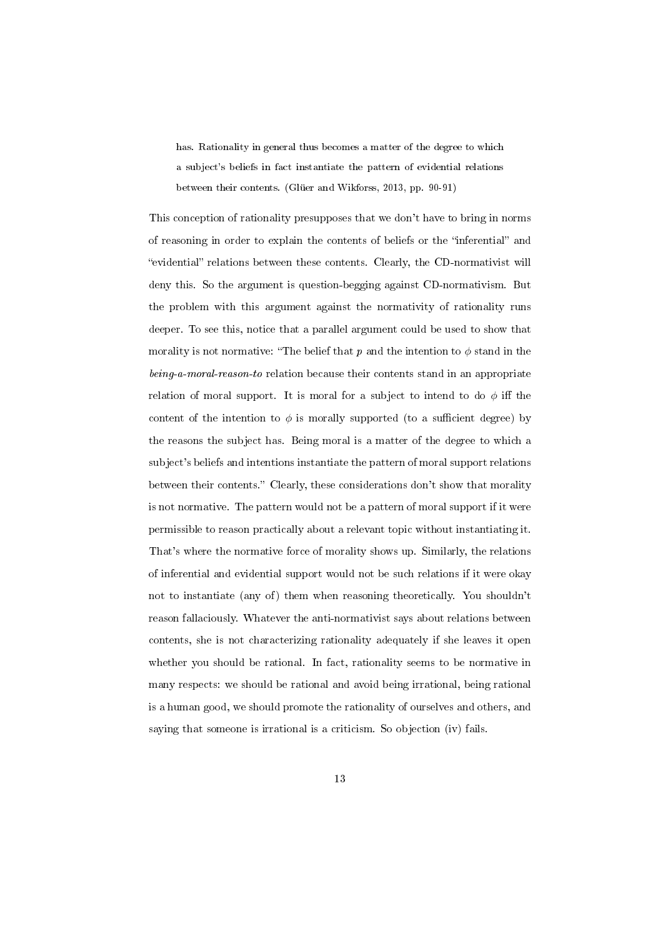has. Rationality in general thus becomes a matter of the degree to which a subject's beliefs in fact instantiate the pattern of evidential relations between their contents. (Glüer and Wikforss, 2013, pp. 90-91)

This conception of rationality presupposes that we don't have to bring in norms of reasoning in order to explain the contents of beliefs or the "inferential" and "evidential" relations between these contents. Clearly, the CD-normativist will deny this. So the argument is question-begging against CD-normativism. But the problem with this argument against the normativity of rationality runs deeper. To see this, notice that a parallel argument could be used to show that morality is not normative: "The belief that p and the intention to  $\phi$  stand in the being-a-moral-reason-to relation because their contents stand in an appropriate relation of moral support. It is moral for a subject to intend to do  $\phi$  iff the content of the intention to  $\phi$  is morally supported (to a sufficient degree) by the reasons the subject has. Being moral is a matter of the degree to which a subject's beliefs and intentions instantiate the pattern of moral support relations between their contents." Clearly, these considerations don't show that morality is not normative. The pattern would not be a pattern of moral support if it were permissible to reason practically about a relevant topic without instantiating it. That's where the normative force of morality shows up. Similarly, the relations of inferential and evidential support would not be such relations if it were okay not to instantiate (any of) them when reasoning theoretically. You shouldn't reason fallaciously. Whatever the anti-normativist says about relations between contents, she is not characterizing rationality adequately if she leaves it open whether you should be rational. In fact, rationality seems to be normative in many respects: we should be rational and avoid being irrational, being rational is a human good, we should promote the rationality of ourselves and others, and saying that someone is irrational is a criticism. So objection (iv) fails.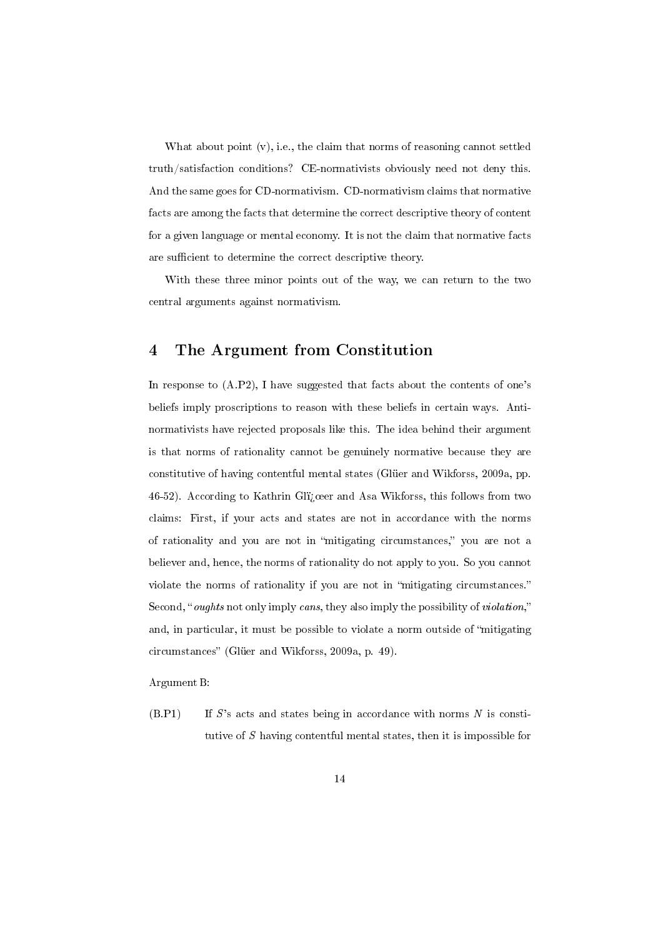What about point  $(v)$ , i.e., the claim that norms of reasoning cannot settled truth/satisfaction conditions? CE-normativists obviously need not deny this. And the same goes for CD-normativism. CD-normativism claims that normative facts are among the facts that determine the correct descriptive theory of content for a given language or mental economy. It is not the claim that normative facts are sufficient to determine the correct descriptive theory.

With these three minor points out of the way, we can return to the two central arguments against normativism.

## 4 The Argument from Constitution

In response to (A.P2), I have suggested that facts about the contents of one's beliefs imply proscriptions to reason with these beliefs in certain ways. Antinormativists have rejected proposals like this. The idea behind their argument is that norms of rationality cannot be genuinely normative because they are constitutive of having contentful mental states (Glüer and Wikforss, 2009a, pp. 46-52). According to Kathrin Gli $\chi$  eer and Asa Wikforss, this follows from two claims: First, if your acts and states are not in accordance with the norms of rationality and you are not in "mitigating circumstances," you are not a believer and, hence, the norms of rationality do not apply to you. So you cannot violate the norms of rationality if you are not in "mitigating circumstances." Second, "oughts not only imply cans, they also imply the possibility of violation," and, in particular, it must be possible to violate a norm outside of "mitigating circumstances" (Glüer and Wikforss, 2009a, p. 49).

Argument B:

 $(B.P1)$  If S's acts and states being in accordance with norms N is constitutive of  $S$  having contentful mental states, then it is impossible for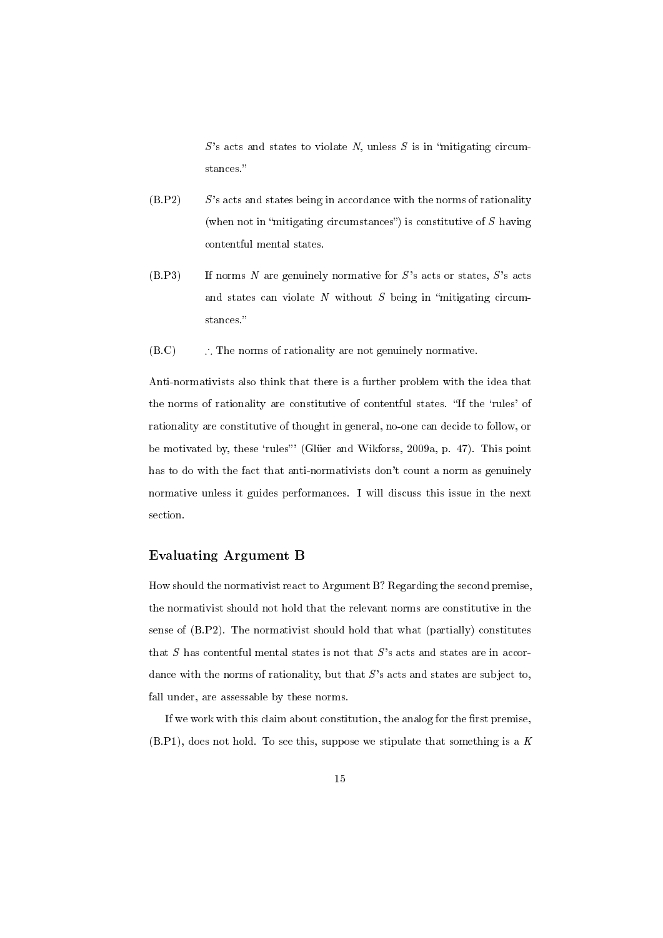$S$ 's acts and states to violate N, unless S is in "mitigating circumstances.

- $(B.P2)$  S's acts and states being in accordance with the norms of rationality (when not in "mitigating circumstances") is constitutive of  $S$  having contentful mental states.
- $(B.P3)$  If norms N are genuinely normative for S's acts or states, S's acts and states can violate  $N$  without  $S$  being in "mitigating circumstances.
- (B.C) ∴ The norms of rationality are not genuinely normative.

Anti-normativists also think that there is a further problem with the idea that the norms of rationality are constitutive of contentful states. "If the 'rules' of rationality are constitutive of thought in general, no-one can decide to follow, or be motivated by, these 'rules'' (Glüer and Wikforss, 2009a, p. 47). This point has to do with the fact that anti-normativists don't count a norm as genuinely normative unless it guides performances. I will discuss this issue in the next section.

#### Evaluating Argument B

How should the normativist react to Argument B? Regarding the second premise, the normativist should not hold that the relevant norms are constitutive in the sense of (B.P2). The normativist should hold that what (partially) constitutes that  $S$  has contentful mental states is not that  $S$ 's acts and states are in accordance with the norms of rationality, but that  $S$ 's acts and states are subject to, fall under, are assessable by these norms.

If we work with this claim about constitution, the analog for the first premise,  $(B.P1)$ , does not hold. To see this, suppose we stipulate that something is a K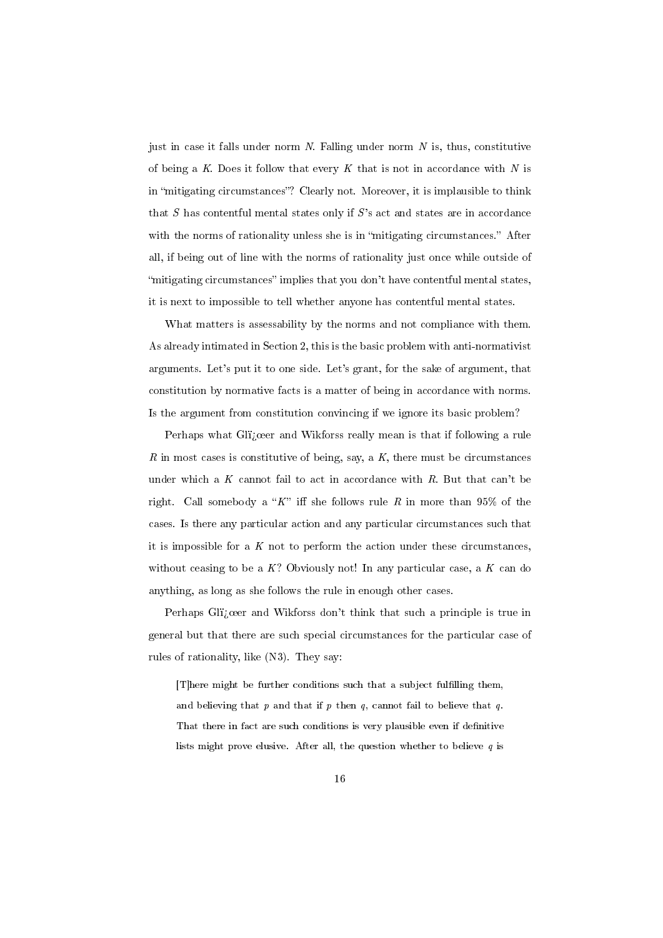just in case it falls under norm  $N$ . Falling under norm  $N$  is, thus, constitutive of being a K. Does it follow that every K that is not in accordance with N is in "mitigating circumstances"? Clearly not. Moreover, it is implausible to think that  $S$  has contentful mental states only if  $S$ 's act and states are in accordance with the norms of rationality unless she is in "mitigating circumstances." After all, if being out of line with the norms of rationality just once while outside of "mitigating circumstances" implies that you don't have contentful mental states, it is next to impossible to tell whether anyone has contentful mental states.

What matters is assessability by the norms and not compliance with them. As already intimated in Section 2, this is the basic problem with anti-normativist arguments. Let's put it to one side. Let's grant, for the sake of argument, that constitution by normative facts is a matter of being in accordance with norms. Is the argument from constitution convincing if we ignore its basic problem?

Perhaps what Glï $\chi$  eer and Wikforss really mean is that if following a rule  $R$  in most cases is constitutive of being, say, a  $K$ , there must be circumstances under which a  $K$  cannot fail to act in accordance with  $R$ . But that can't be right. Call somebody a "K" iff she follows rule R in more than  $95\%$  of the cases. Is there any particular action and any particular circumstances such that it is impossible for a  $K$  not to perform the action under these circumstances, without ceasing to be a K? Obviously not! In any particular case, a K can do anything, as long as she follows the rule in enough other cases.

Perhaps Gli $\chi$  eer and Wikforss don't think that such a principle is true in general but that there are such special circumstances for the particular case of rules of rationality, like (N3). They say:

[T]here might be further conditions such that a subject fullling them, and believing that  $p$  and that if  $p$  then  $q$ , cannot fail to believe that  $q$ . That there in fact are such conditions is very plausible even if definitive lists might prove elusive. After all, the question whether to believe  $q$  is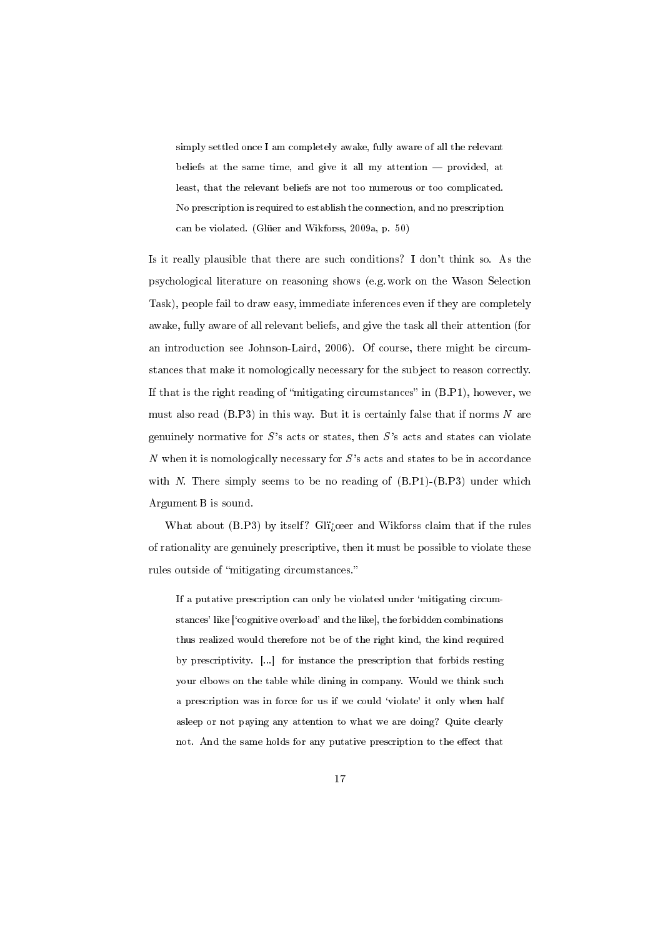simply settled once I am completely awake, fully aware of all the relevant beliefs at the same time, and give it all my attention  $-$  provided, at least, that the relevant beliefs are not too numerous or too complicated. No prescription is required to establish the connection, and no prescription can be violated. (Glüer and Wikforss, 2009a, p. 50)

Is it really plausible that there are such conditions? I don't think so. As the psychological literature on reasoning shows (e.g. work on the Wason Selection Task), people fail to draw easy, immediate inferences even if they are completely awake, fully aware of all relevant beliefs, and give the task all their attention (for an introduction see Johnson-Laird, 2006). Of course, there might be circumstances that make it nomologically necessary for the subject to reason correctly. If that is the right reading of "mitigating circumstances" in  $(B.P1)$ , however, we must also read  $(B.P3)$  in this way. But it is certainly false that if norms  $N$  are genuinely normative for  $S$ 's acts or states, then  $S$ 's acts and states can violate N when it is nomologically necessary for  $S$ 's acts and states to be in accordance with N. There simply seems to be no reading of  $(B.P1)-(B.P3)$  under which Argument B is sound.

What about  $(B.P3)$  by itself? Gli<sub>l</sub> ceer and Wikforss claim that if the rules of rationality are genuinely prescriptive, then it must be possible to violate these rules outside of "mitigating circumstances."

If a putative prescription can only be violated under `mitigating circumstances' like [`cognitive overload' and the like], the forbidden combinations thus realized would therefore not be of the right kind, the kind required by prescriptivity. [...] for instance the prescription that forbids resting your elbows on the table while dining in company. Would we think such a prescription was in force for us if we could 'violate' it only when half asleep or not paying any attention to what we are doing? Quite clearly not. And the same holds for any putative prescription to the effect that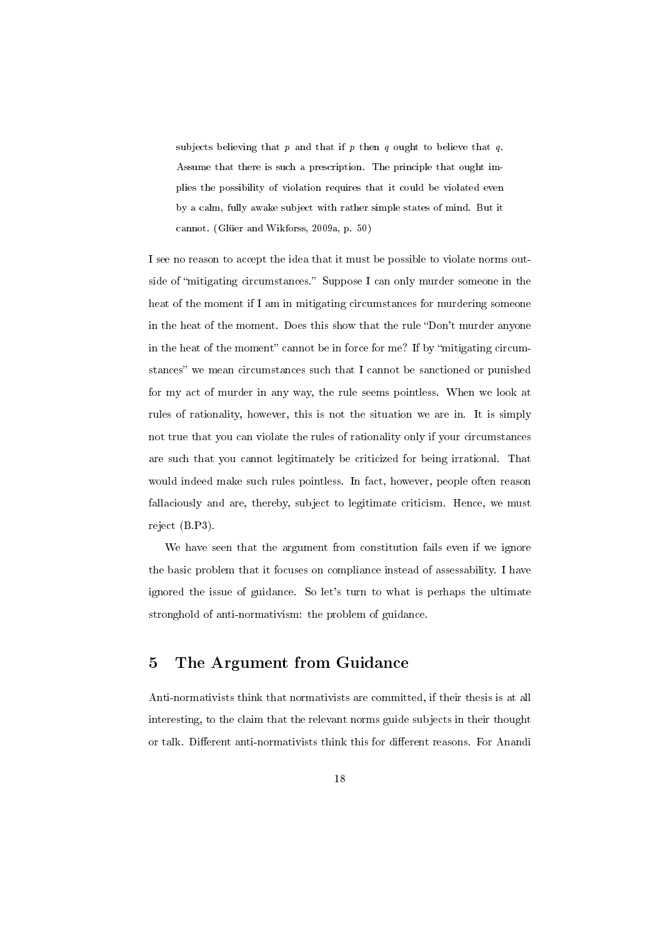subjects believing that  $p$  and that if  $p$  then  $q$  ought to believe that  $q$ . Assume that there is such a prescription. The principle that ought implies the possibility of violation requires that it could be violated even by a calm, fully awake subject with rather simple states of mind. But it cannot. (Glüer and Wikforss, 2009a, p. 50)

I see no reason to accept the idea that it must be possible to violate norms outside of "mitigating circumstances." Suppose I can only murder someone in the heat of the moment if I am in mitigating circumstances for murdering someone in the heat of the moment. Does this show that the rule "Don't murder anyone in the heat of the moment" cannot be in force for me? If by "mitigating circumstances we mean circumstances such that I cannot be sanctioned or punished for my act of murder in any way, the rule seems pointless. When we look at rules of rationality, however, this is not the situation we are in. It is simply not true that you can violate the rules of rationality only if your circumstances are such that you cannot legitimately be criticized for being irrational. That would indeed make such rules pointless. In fact, however, people often reason fallaciously and are, thereby, subject to legitimate criticism. Hence, we must reject (B.P3).

We have seen that the argument from constitution fails even if we ignore the basic problem that it focuses on compliance instead of assessability. I have ignored the issue of guidance. So let's turn to what is perhaps the ultimate stronghold of anti-normativism: the problem of guidance.

## 5 The Argument from Guidance

Anti-normativists think that normativists are committed, if their thesis is at all interesting, to the claim that the relevant norms guide subjects in their thought or talk. Different anti-normativists think this for different reasons. For Anandi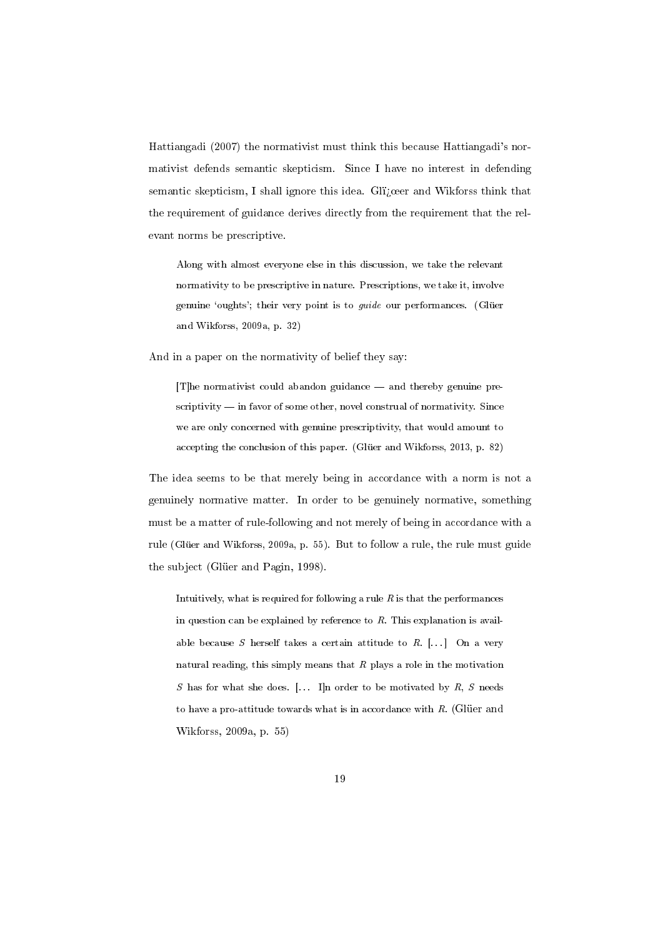Hattiangadi (2007) the normativist must think this because Hattiangadi's normativist defends semantic skepticism. Since I have no interest in defending semantic skepticism, I shall ignore this idea. Gli $\chi$  eer and Wikforss think that the requirement of guidance derives directly from the requirement that the relevant norms be prescriptive.

Along with almost everyone else in this discussion, we take the relevant normativity to be prescriptive in nature. Prescriptions, we take it, involve genuine 'oughts'; their very point is to *guide* our performances. (Glüer and Wikforss, 2009a, p. 32)

And in a paper on the normativity of belief they say:

[T]he normativist could abandon guidance and thereby genuine pre $scriptivity$   $\equiv$  in favor of some other, novel construal of normativity. Since we are only concerned with genuine prescriptivity, that would amount to accepting the conclusion of this paper. (Glüer and Wikforss, 2013, p. 82)

The idea seems to be that merely being in accordance with a norm is not a genuinely normative matter. In order to be genuinely normative, something must be a matter of rule-following and not merely of being in accordance with a rule (Glüer and Wikforss, 2009a, p. 55). But to follow a rule, the rule must guide the subject (Glüer and Pagin, 1998).

Intuitively, what is required for following a rule  $R$  is that the performances in question can be explained by reference to  $R$ . This explanation is available because S herself takes a certain attitude to  $R$ . [...] On a very natural reading, this simply means that  $R$  plays a role in the motivation S has for what she does.  $[\dots]$  I n order to be motivated by R, S needs to have a pro-attitude towards what is in accordance with  $R$ . (Glüer and Wikforss, 2009a, p. 55)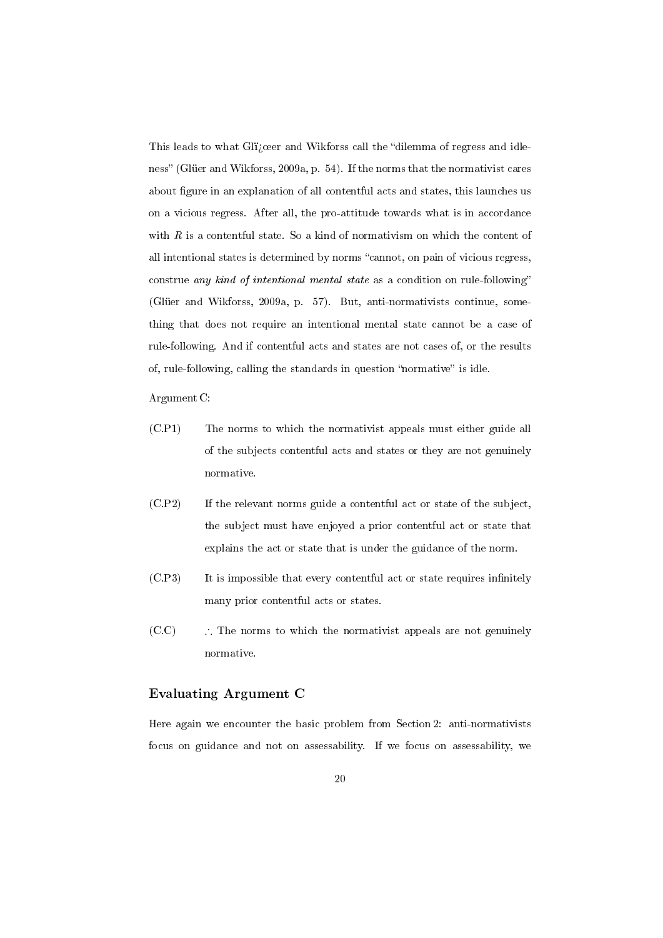This leads to what  $\overline{G}$ li $\chi$  eer and Wikforss call the "dilemma of regress and idleness" (Glüer and Wikforss, 2009a, p. 54). If the norms that the normativist cares about figure in an explanation of all contentful acts and states, this launches us on a vicious regress. After all, the pro-attitude towards what is in accordance with  $R$  is a contentful state. So a kind of normativism on which the content of all intentional states is determined by norms "cannot, on pain of vicious regress, construe any kind of intentional mental state as a condition on rule-following (Glüer and Wikforss, 2009a, p. 57). But, anti-normativists continue, something that does not require an intentional mental state cannot be a case of rule-following. And if contentful acts and states are not cases of, or the results of, rule-following, calling the standards in question "normative" is idle.

Argument C:

- (C.P1) The norms to which the normativist appeals must either guide all of the subjects contentful acts and states or they are not genuinely normative.
- (C.P2) If the relevant norms guide a contentful act or state of the subject, the subject must have enjoyed a prior contentful act or state that explains the act or state that is under the guidance of the norm.
- $(C.P3)$  It is impossible that every contentful act or state requires infinitely many prior contentful acts or states.
- $(C.C)$  ∴ The norms to which the normativist appeals are not genuinely normative.

#### Evaluating Argument C

Here again we encounter the basic problem from Section 2: anti-normativists focus on guidance and not on assessability. If we focus on assessability, we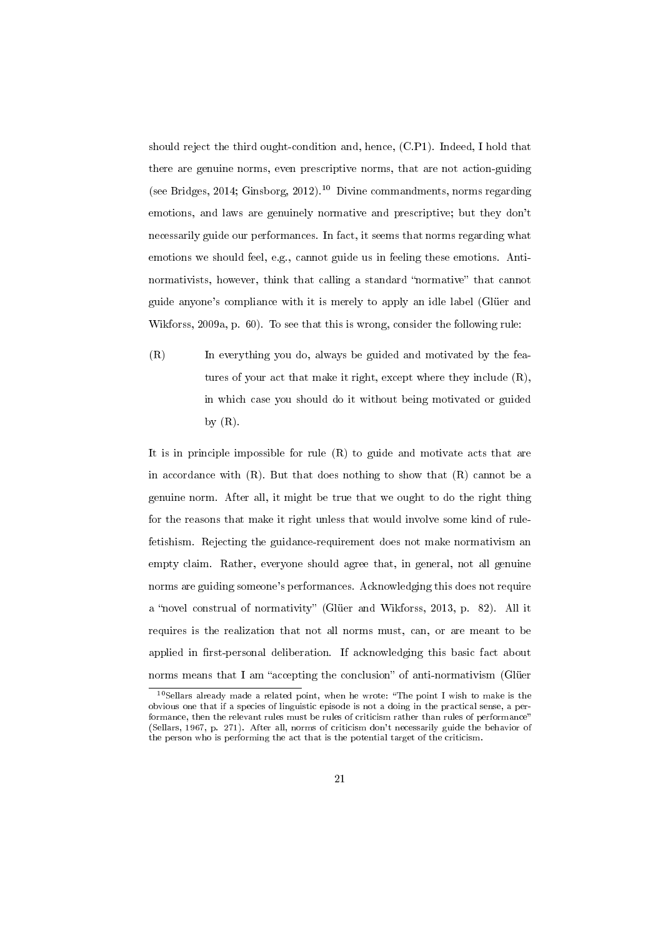should reject the third ought-condition and, hence, (C.P1). Indeed, I hold that there are genuine norms, even prescriptive norms, that are not action-guiding (see Bridges, 2014; Ginsborg, 2012).<sup>10</sup> Divine commandments, norms regarding emotions, and laws are genuinely normative and prescriptive; but they don't necessarily guide our performances. In fact, it seems that norms regarding what emotions we should feel, e.g., cannot guide us in feeling these emotions. Antinormativists, however, think that calling a standard "normative" that cannot guide anyone's compliance with it is merely to apply an idle label (Glüer and Wikforss, 2009a, p. 60). To see that this is wrong, consider the following rule:

(R) In everything you do, always be guided and motivated by the features of your act that make it right, except where they include (R), in which case you should do it without being motivated or guided by  $(R)$ .

It is in principle impossible for rule (R) to guide and motivate acts that are in accordance with  $(R)$ . But that does nothing to show that  $(R)$  cannot be a genuine norm. After all, it might be true that we ought to do the right thing for the reasons that make it right unless that would involve some kind of rulefetishism. Rejecting the guidance-requirement does not make normativism an empty claim. Rather, everyone should agree that, in general, not all genuine norms are guiding someone's performances. Acknowledging this does not require a "novel construal of normativity" (Glüer and Wikforss, 2013, p. 82). All it requires is the realization that not all norms must, can, or are meant to be applied in first-personal deliberation. If acknowledging this basic fact about norms means that I am "accepting the conclusion" of anti-normativism (Glüer

 $10$  Sellars already made a related point, when he wrote: "The point I wish to make is the obvious one that if a species of linguistic episode is not a doing in the practical sense, a performance, then the relevant rules must be rules of criticism rather than rules of performance (Sellars, 1967, p. 271). After all, norms of criticism don't necessarily guide the behavior of the person who is performing the act that is the potential target of the criticism.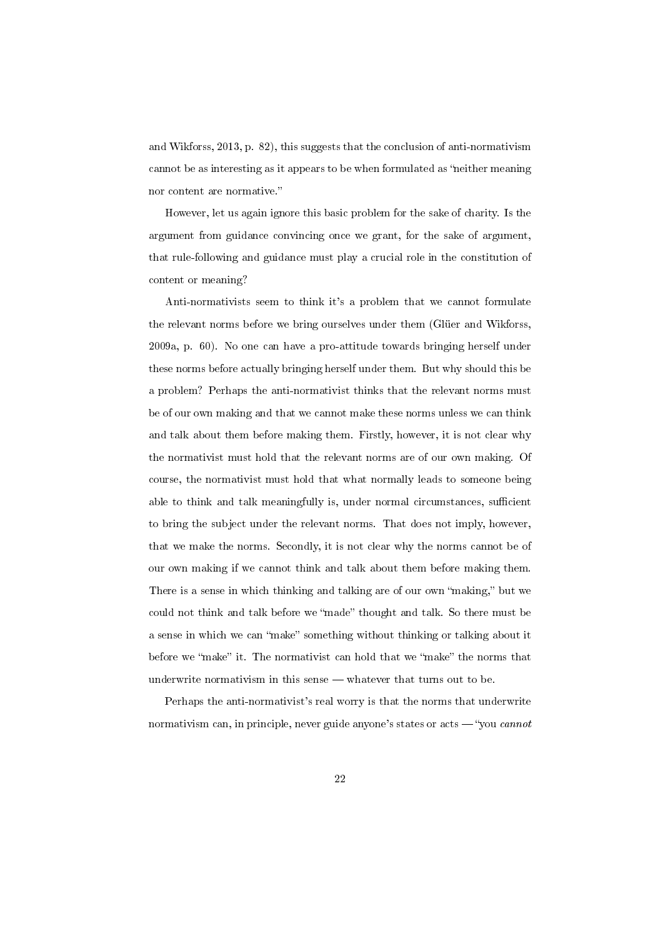and Wikforss, 2013, p. 82), this suggests that the conclusion of anti-normativism cannot be as interesting as it appears to be when formulated as "neither meaning" nor content are normative.

However, let us again ignore this basic problem for the sake of charity. Is the argument from guidance convincing once we grant, for the sake of argument, that rule-following and guidance must play a crucial role in the constitution of content or meaning?

Anti-normativists seem to think it's a problem that we cannot formulate the relevant norms before we bring ourselves under them (Glüer and Wikforss, 2009a, p. 60). No one can have a pro-attitude towards bringing herself under these norms before actually bringing herself under them. But why should this be a problem? Perhaps the anti-normativist thinks that the relevant norms must be of our own making and that we cannot make these norms unless we can think and talk about them before making them. Firstly, however, it is not clear why the normativist must hold that the relevant norms are of our own making. Of course, the normativist must hold that what normally leads to someone being able to think and talk meaningfully is, under normal circumstances, sufficient to bring the subject under the relevant norms. That does not imply, however, that we make the norms. Secondly, it is not clear why the norms cannot be of our own making if we cannot think and talk about them before making them. There is a sense in which thinking and talking are of our own "making," but we could not think and talk before we "made" thought and talk. So there must be a sense in which we can "make" something without thinking or talking about it before we "make" it. The normativist can hold that we "make" the norms that underwrite normativism in this sense  $-$  whatever that turns out to be.

Perhaps the anti-normativist's real worry is that the norms that underwrite normativism can, in principle, never guide anyone's states or  $acts - "you cannot$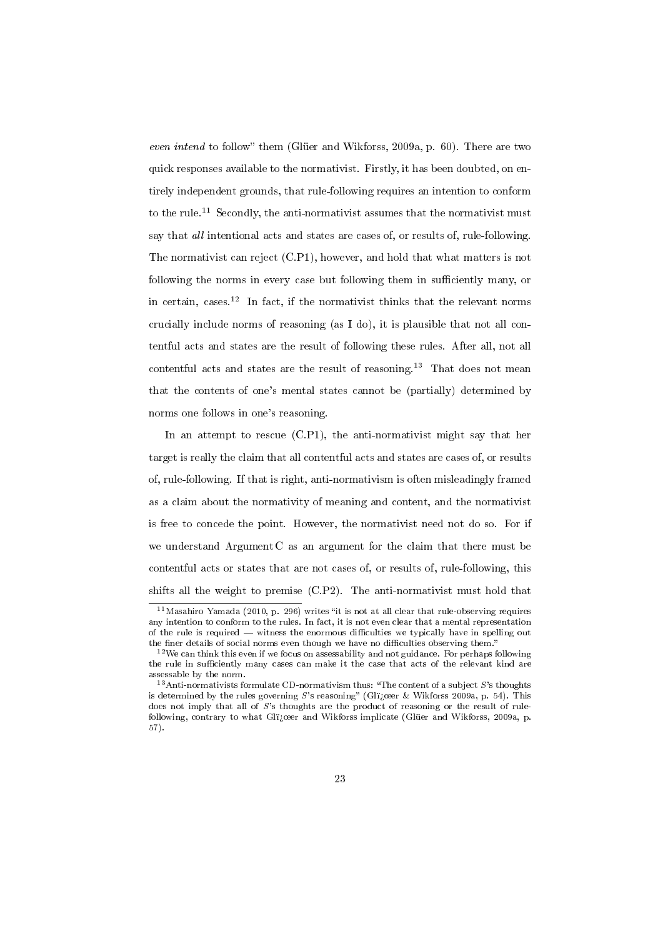even intend to follow" them (Glüer and Wikforss, 2009a, p. 60). There are two quick responses available to the normativist. Firstly, it has been doubted, on entirely independent grounds, that rule-following requires an intention to conform to the rule.<sup>11</sup> Secondly, the anti-normativist assumes that the normativist must say that all intentional acts and states are cases of, or results of, rule-following. The normativist can reject (C.P1), however, and hold that what matters is not following the norms in every case but following them in sufficiently many, or in certain, cases.<sup>12</sup> In fact, if the normativist thinks that the relevant norms crucially include norms of reasoning (as I do), it is plausible that not all contentful acts and states are the result of following these rules. After all, not all contentful acts and states are the result of reasoning.<sup>13</sup> That does not mean that the contents of one's mental states cannot be (partially) determined by norms one follows in one's reasoning.

In an attempt to rescue (C.P1), the anti-normativist might say that her target is really the claim that all contentful acts and states are cases of, or results of, rule-following. If that is right, anti-normativism is often misleadingly framed as a claim about the normativity of meaning and content, and the normativist is free to concede the point. However, the normativist need not do so. For if we understand Argument C as an argument for the claim that there must be contentful acts or states that are not cases of, or results of, rule-following, this shifts all the weight to premise (C.P2). The anti-normativist must hold that

 $11$  Masahiro Yamada (2010, p. 296) writes "it is not at all clear that rule-observing requires any intention to conform to the rules. In fact, it is not even clear that a mental representation of the rule is required - witness the enormous difficulties we typically have in spelling out the finer details of social norms even though we have no difficulties observing them.'

 $12$ We can think this even if we focus on assessability and not guidance. For perhaps following the rule in sufficiently many cases can make it the case that acts of the relevant kind are assessable by the norm.

 $13$  Anti-normativists formulate CD-normativism thus: "The content of a subject  $S$ 's thoughts is determined by the rules governing S's reasoning" (Glï<sub> $i$ </sub>ceer & Wikforss 2009a, p. 54). This does not imply that all of  $S$ 's thoughts are the product of reasoning or the result of rulefollowing, contrary to what Glï; œer and Wikforss implicate (Glüer and Wikforss, 2009a, p. 57).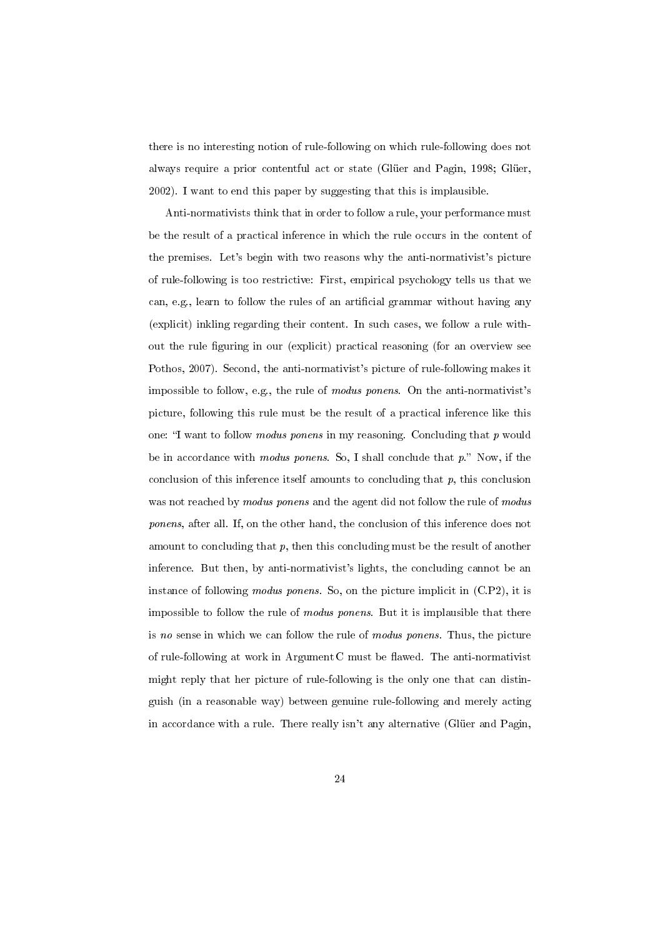there is no interesting notion of rule-following on which rule-following does not always require a prior contentful act or state (Glüer and Pagin, 1998; Glüer, 2002). I want to end this paper by suggesting that this is implausible.

Anti-normativists think that in order to follow a rule, your performance must be the result of a practical inference in which the rule occurs in the content of the premises. Let's begin with two reasons why the anti-normativist's picture of rule-following is too restrictive: First, empirical psychology tells us that we can, e.g., learn to follow the rules of an artificial grammar without having any (explicit) inkling regarding their content. In such cases, we follow a rule without the rule figuring in our (explicit) practical reasoning (for an overview see Pothos, 2007). Second, the anti-normativist's picture of rule-following makes it impossible to follow, e.g., the rule of modus ponens. On the anti-normativist's picture, following this rule must be the result of a practical inference like this one: "I want to follow *modus ponens* in my reasoning. Concluding that p would be in accordance with *modus ponens*. So, I shall conclude that  $p$ ." Now, if the conclusion of this inference itself amounts to concluding that  $p$ , this conclusion was not reached by *modus ponens* and the agent did not follow the rule of *modus* ponens, after all. If, on the other hand, the conclusion of this inference does not amount to concluding that  $p$ , then this concluding must be the result of another inference. But then, by anti-normativist's lights, the concluding cannot be an instance of following modus ponens. So, on the picture implicit in (C.P2), it is impossible to follow the rule of modus ponens. But it is implausible that there is no sense in which we can follow the rule of modus ponens. Thus, the picture of rule-following at work in Argument C must be awed. The anti-normativist might reply that her picture of rule-following is the only one that can distinguish (in a reasonable way) between genuine rule-following and merely acting in accordance with a rule. There really isn't any alternative (Glüer and Pagin,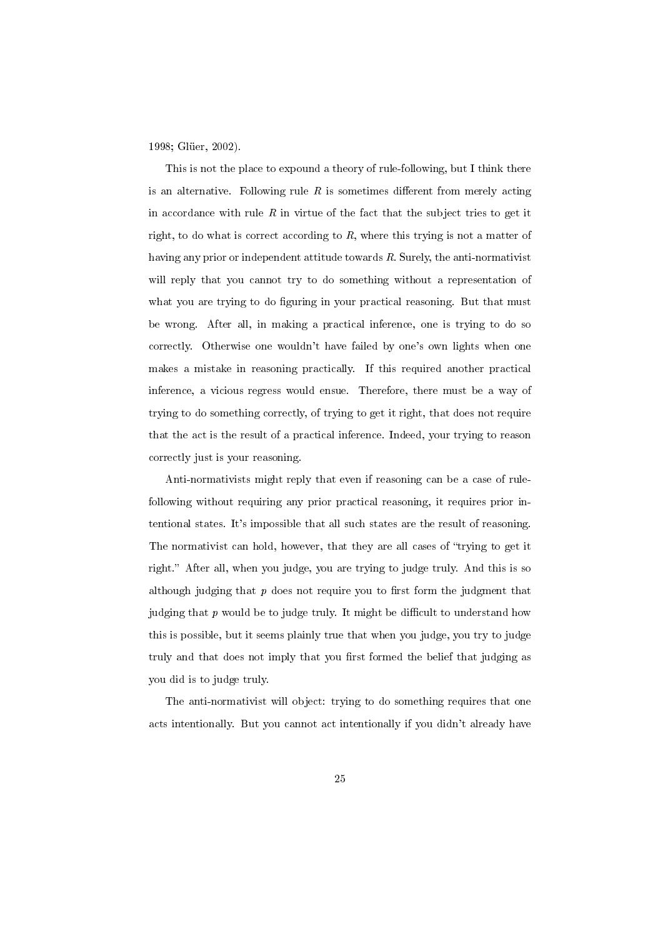1998; Glüer, 2002).

This is not the place to expound a theory of rule-following, but I think there is an alternative. Following rule R is sometimes different from merely acting in accordance with rule  $R$  in virtue of the fact that the subject tries to get it right, to do what is correct according to  $R$ , where this trying is not a matter of having any prior or independent attitude towards R. Surely, the anti-normativist will reply that you cannot try to do something without a representation of what you are trying to do figuring in your practical reasoning. But that must be wrong. After all, in making a practical inference, one is trying to do so correctly. Otherwise one wouldn't have failed by one's own lights when one makes a mistake in reasoning practically. If this required another practical inference, a vicious regress would ensue. Therefore, there must be a way of trying to do something correctly, of trying to get it right, that does not require that the act is the result of a practical inference. Indeed, your trying to reason correctly just is your reasoning.

Anti-normativists might reply that even if reasoning can be a case of rulefollowing without requiring any prior practical reasoning, it requires prior intentional states. It's impossible that all such states are the result of reasoning. The normativist can hold, however, that they are all cases of "trying to get it right." After all, when you judge, you are trying to judge truly. And this is so although judging that  $p$  does not require you to first form the judgment that judging that  $p$  would be to judge truly. It might be difficult to understand how this is possible, but it seems plainly true that when you judge, you try to judge truly and that does not imply that you first formed the belief that judging as you did is to judge truly.

The anti-normativist will object: trying to do something requires that one acts intentionally. But you cannot act intentionally if you didn't already have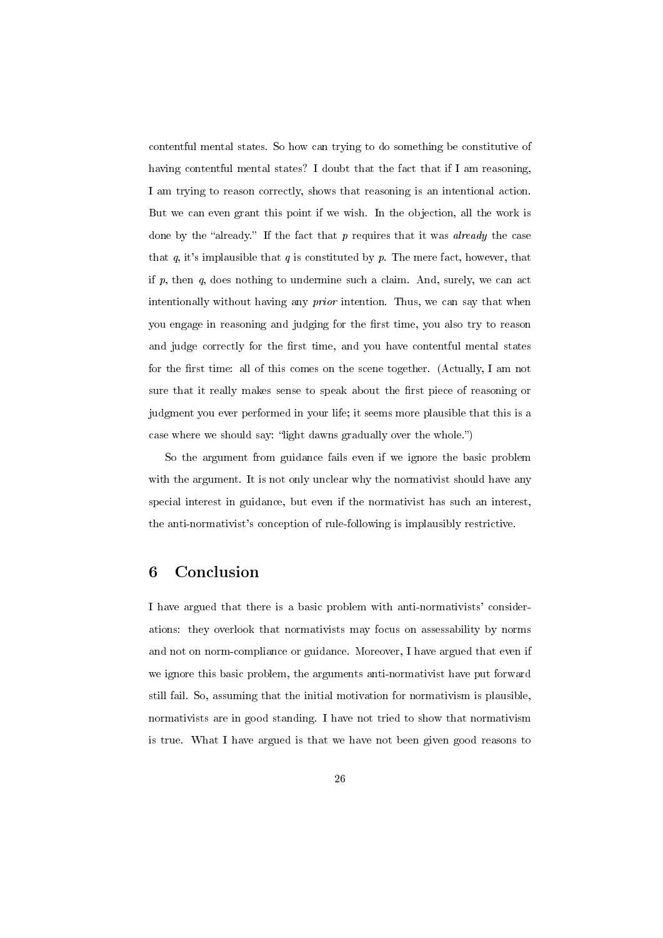contentful mental states. So how can trying to do something be constitutive of having contentful mental states? I doubt that the fact that if I am reasoning, I am trying to reason correctly, shows that reasoning is an intentional action. But we can even grant this point if we wish. In the objection, all the work is done by the "already." If the fact that  $p$  requires that it was already the case that  $q$ , it's implausible that  $q$  is constituted by  $p$ . The mere fact, however, that if  $p$ , then  $q$ , does nothing to undermine such a claim. And, surely, we can act intentionally without having any *prior* intention. Thus, we can say that when you engage in reasoning and judging for the first time, you also try to reason and judge correctly for the first time, and you have contentful mental states for the first time: all of this comes on the scene together. (Actually, I am not sure that it really makes sense to speak about the first piece of reasoning or judgment you ever performed in your life; it seems more plausible that this is a case where we should say: "light dawns gradually over the whole.")

So the argument from guidance fails even if we ignore the basic problem with the argument. It is not only unclear why the normativist should have any special interest in guidance, but even if the normativist has such an interest, the anti-normativist's conception of rule-following is implausibly restrictive.

### 6 Conclusion

I have argued that there is a basic problem with anti-normativists' considerations: they overlook that normativists may focus on assessability by norms and not on norm-compliance or guidance. Moreover, I have argued that even if we ignore this basic problem, the arguments anti-normativist have put forward still fail. So, assuming that the initial motivation for normativism is plausible, normativists are in good standing. I have not tried to show that normativism is true. What I have argued is that we have not been given good reasons to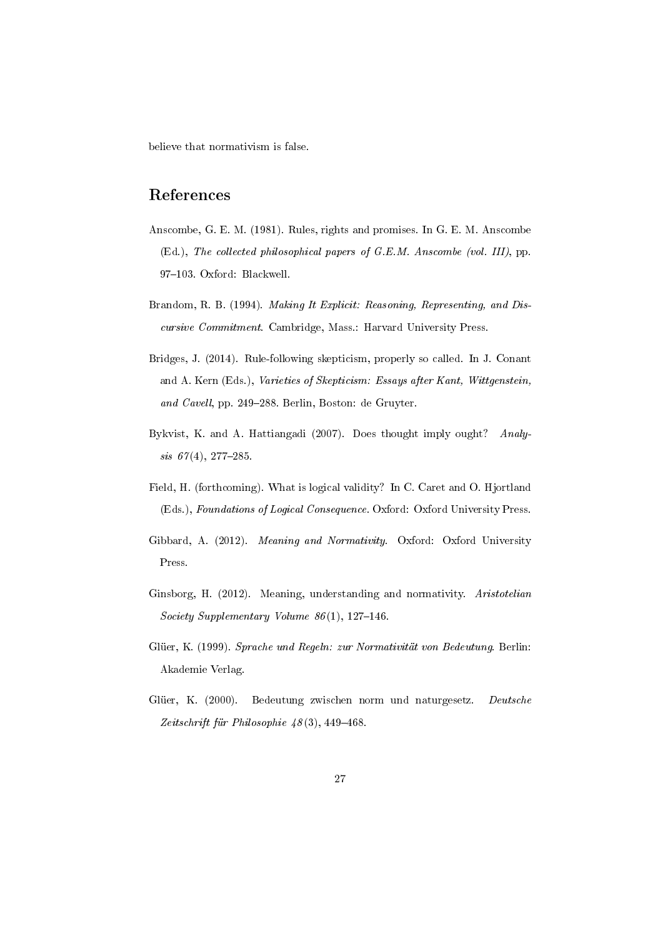believe that normativism is false.

## References

- Anscombe, G. E. M. (1981). Rules, rights and promises. In G. E. M. Anscombe (Ed.), The collected philosophical papers of G.E.M. Anscombe (vol. III), pp. 97-103. Oxford: Blackwell.
- Brandom, R. B. (1994). Making It Explicit: Reasoning, Representing, and Discursive Commitment. Cambridge, Mass.: Harvard University Press.
- Bridges, J. (2014). Rule-following skepticism, properly so called. In J. Conant and A. Kern (Eds.), Varieties of Skepticism: Essays after Kant, Wittgenstein, and Cavell, pp. 249–288. Berlin, Boston: de Gruyter.
- Bykvist, K. and A. Hattiangadi (2007). Does thought imply ought? Analy $sis\ 67(4),\ 277-285.$
- Field, H. (forthcoming). What is logical validity? In C. Caret and O. Hjortland (Eds.), Foundations of Logical Consequence. Oxford: Oxford University Press.
- Gibbard, A. (2012). Meaning and Normativity. Oxford: Oxford University Press.
- Ginsborg, H. (2012). Meaning, understanding and normativity. Aristotelian Society Supplementary Volume  $86(1)$ , 127-146.
- Glüer, K. (1999). Sprache und Regeln: zur Normativität von Bedeutung. Berlin: Akademie Verlag.
- Glüer, K. (2000). Bedeutung zwischen norm und naturgesetz. Deutsche Zeitschrift für Philosophie  $48(3)$ , 449–468.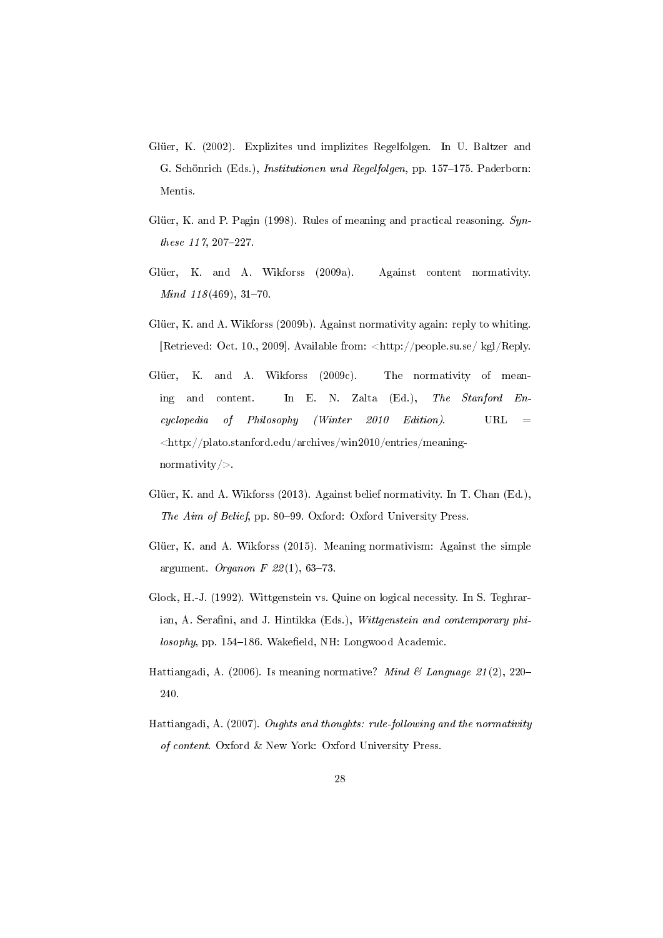- Glüer, K. (2002). Explizites und implizites Regelfolgen. In U. Baltzer and G. Schönrich (Eds.), *Institutionen und Regelfolgen*, pp. 157–175. Paderborn: Mentis.
- Glüer, K. and P. Pagin (1998). Rules of meaning and practical reasoning.  $Syn$ these  $117, 207 - 227$ .
- Glüer, K. and A. Wikforss (2009a). Against content normativity.  $Mind$  118 (469), 31-70.
- Glüer, K. and A. Wikforss (2009b). Against normativity again: reply to whiting. [Retrieved: Oct. 10., 2009]. Available from: <http://people.su.se/ kgl/Reply.
- Glüer, K. and A. Wikforss (2009c). The normativity of meaning and content. In E. N. Zalta (Ed.), The Stanford En $cyclopedia$  of Philosophy (Winter 2010 Edition). URL =  $\langle$ http://plato.stanford.edu/archives/win2010/entries/meaningnormativity/>.
- Glüer, K. and A. Wikforss (2013). Against belief normativity. In T. Chan (Ed.), The Aim of Belief, pp. 80-99. Oxford: Oxford University Press.
- Glüer, K. and A. Wikforss (2015). Meaning normativism: Against the simple argument. Organon  $F$  22(1), 63-73.
- Glock, H.-J. (1992). Wittgenstein vs. Quine on logical necessity. In S. Teghrarian, A. Serafini, and J. Hintikka (Eds.), Wittgenstein and contemporary phi- $\emph{losophy}$ , pp. 154–186. Wakefield, NH: Longwood Academic.
- Hattiangadi, A. (2006). Is meaning normative? Mind & Language 21(2), 220-240.
- Hattiangadi, A. (2007). Oughts and thoughts: rule-following and the normativity of content. Oxford & New York: Oxford University Press.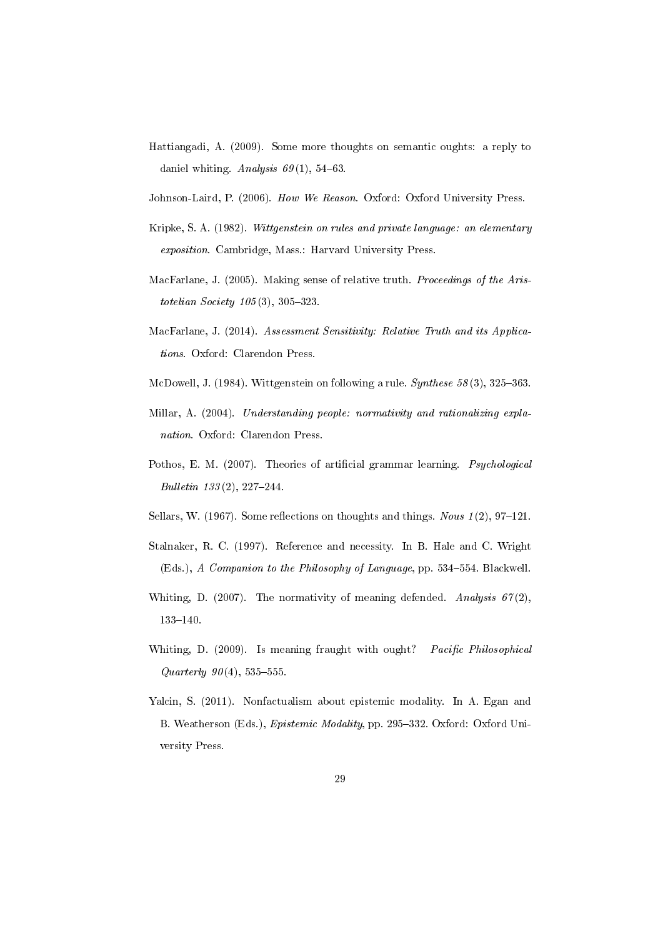- Hattiangadi, A. (2009). Some more thoughts on semantic oughts: a reply to daniel whiting. Analysis  $69(1)$ , 54–63.
- Johnson-Laird, P. (2006). How We Reason. Oxford: Oxford University Press.
- Kripke, S. A. (1982). Wittgenstein on rules and private language: an elementary exposition. Cambridge, Mass.: Harvard University Press.
- MacFarlane, J. (2005). Making sense of relative truth. Proceedings of the Aristotelian Society  $105(3)$ , 305-323.
- MacFarlane, J. (2014). Assessment Sensitivity: Relative Truth and its Applications. Oxford: Clarendon Press.
- McDowell, J. (1984). Wittgenstein on following a rule. Synthese  $58(3)$ , 325-363.
- Millar, A. (2004). Understanding people: normativity and rationalizing explanation. Oxford: Clarendon Press.
- Pothos, E. M. (2007). Theories of artificial grammar learning. Psychological  $Bulletin 133(2), 227–244.$
- Sellars, W. (1967). Some reflections on thoughts and things. Nous  $1(2)$ , 97-121.
- Stalnaker, R. C. (1997). Reference and necessity. In B. Hale and C. Wright (Eds.), A Companion to the Philosophy of Language, pp. 534–554. Blackwell.
- Whiting, D. (2007). The normativity of meaning defended. Analysis  $67(2)$ , 133-140.
- Whiting, D. (2009). Is meaning fraught with ought? Pacific Philosophical  $Quarterly 90(4), 535-555.$
- Yalcin, S. (2011). Nonfactualism about epistemic modality. In A. Egan and B. Weatherson (Eds.), *Epistemic Modality*, pp. 295-332. Oxford: Oxford University Press.